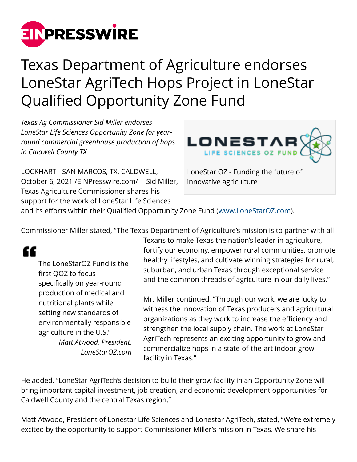

# Texas Department of Agriculture endorses LoneStar AgriTech Hops Project in LoneStar Qualified Opportunity Zone Fund

*Texas Ag Commissioner Sid Miller endorses LoneStar Life Sciences Opportunity Zone for yearround commercial greenhouse production of hops in Caldwell County TX*

LOCKHART - SAN MARCOS, TX, CALDWELL, October 6, 2021 [/EINPresswire.com/](http://www.einpresswire.com) -- Sid Miller, Texas Agriculture Commissioner shares his support for the work of LoneStar Life Sciences



LoneStar OZ - Funding the future of innovative agriculture

and its efforts within their Qualified Opportunity Zone Fund ([www.LoneStarOZ.com\)](http://www.LoneStarOZ.com).

Commissioner Miller stated, "The Texas Department of Agriculture's mission is to partner with all

# "

The LoneStarOZ Fund is the first QOZ to focus specifically on year-round production of medical and nutritional plants while setting new standards of environmentally responsible agriculture in the U.S." *Matt Atwood, President, LoneStarOZ.com* Texans to make Texas the nation's leader in agriculture, fortify our economy, empower rural communities, promote healthy lifestyles, and cultivate winning strategies for rural, suburban, and urban Texas through exceptional service and the common threads of agriculture in our daily lives."

Mr. Miller continued, "Through our work, we are lucky to witness the innovation of Texas producers and agricultural organizations as they work to increase the efficiency and strengthen the local supply chain. The work at LoneStar AgriTech represents an exciting opportunity to grow and commercialize hops in a state-of-the-art indoor grow facility in Texas."

He added, "LoneStar AgriTech's decision to build their grow facility in an Opportunity Zone will bring important capital investment, job creation, and economic development opportunities for Caldwell County and the central Texas region."

Matt Atwood, President of Lonestar Life Sciences and Lonestar AgriTech, stated, "We're extremely excited by the opportunity to support Commissioner Miller's mission in Texas. We share his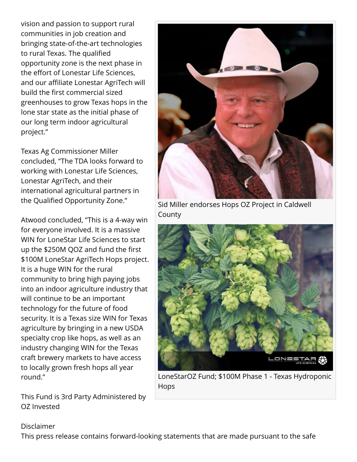vision and passion to support rural communities in job creation and bringing state-of-the-art technologies to rural Texas. The qualified opportunity zone is the next phase in the effort of Lonestar Life Sciences, and our affiliate Lonestar AgriTech will build the first commercial sized greenhouses to grow Texas hops in the lone star state as the initial phase of our long term indoor agricultural project."

Texas Ag Commissioner Miller concluded, "The TDA looks forward to working with Lonestar Life Sciences, Lonestar AgriTech, and their international agricultural partners in the Qualified Opportunity Zone."

Atwood concluded, "This is a 4-way win for everyone involved. It is a massive WIN for LoneStar Life Sciences to start up the \$250M QOZ and fund the first \$100M LoneStar AgriTech Hops project. It is a huge WIN for the rural community to bring high paying jobs into an indoor agriculture industry that will continue to be an important technology for the future of food security. It is a Texas size WIN for Texas agriculture by bringing in a new USDA specialty crop like hops, as well as an industry changing WIN for the Texas craft brewery markets to have access to locally grown fresh hops all year round."

This Fund is 3rd Party Administered by OZ Invested



Sid Miller endorses Hops OZ Project in Caldwell County



LoneStarOZ Fund; \$100M Phase 1 - Texas Hydroponic Hops

#### Disclaimer

This press release contains forward-looking statements that are made pursuant to the safe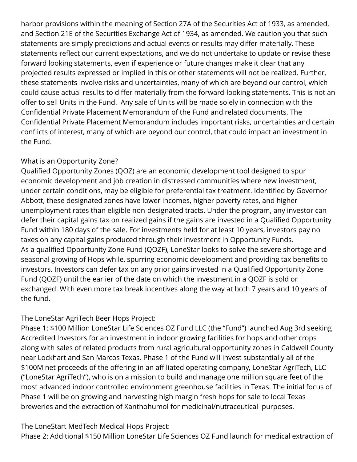harbor provisions within the meaning of Section 27A of the Securities Act of 1933, as amended, and Section 21E of the Securities Exchange Act of 1934, as amended. We caution you that such statements are simply predictions and actual events or results may differ materially. These statements reflect our current expectations, and we do not undertake to update or revise these forward looking statements, even if experience or future changes make it clear that any projected results expressed or implied in this or other statements will not be realized. Further, these statements involve risks and uncertainties, many of which are beyond our control, which could cause actual results to differ materially from the forward-looking statements. This is not an offer to sell Units in the Fund. Any sale of Units will be made solely in connection with the Confidential Private Placement Memorandum of the Fund and related documents. The Confidential Private Placement Memorandum includes important risks, uncertainties and certain conflicts of interest, many of which are beyond our control, that could impact an investment in the Fund.

### What is an Opportunity Zone?

Qualified Opportunity Zones (QOZ) are an economic development tool designed to spur economic development and job creation in distressed communities where new investment, under certain conditions, may be eligible for preferential tax treatment. Identified by Governor Abbott, these designated zones have lower incomes, higher poverty rates, and higher unemployment rates than eligible non-designated tracts. Under the program, any investor can defer their capital gains tax on realized gains if the gains are invested in a Qualified Opportunity Fund within 180 days of the sale. For investments held for at least 10 years, investors pay no taxes on any capital gains produced through their investment in Opportunity Funds. As a qualified Opportunity Zone Fund (QOZF), LoneStar looks to solve the severe shortage and seasonal growing of Hops while, spurring economic development and providing tax benefits to investors. Investors can defer tax on any prior gains invested in a Qualified Opportunity Zone Fund (QOZF) until the earlier of the date on which the investment in a QOZF is sold or exchanged. With even more tax break incentives along the way at both 7 years and 10 years of the fund.

## The LoneStar AgriTech Beer Hops Project:

Phase 1: \$100 Million LoneStar Life Sciences OZ Fund LLC (the "Fund") launched Aug 3rd seeking Accredited Investors for an investment in indoor growing facilities for hops and other crops along with sales of related products from rural agricultural opportunity zones in Caldwell County near Lockhart and San Marcos Texas. Phase 1 of the Fund will invest substantially all of the \$100M net proceeds of the offering in an affiliated operating company, LoneStar AgriTech, LLC ("LoneStar AgriTech"), who is on a mission to build and manage one million square feet of the most advanced indoor controlled environment greenhouse facilities in Texas. The initial focus of Phase 1 will be on growing and harvesting high margin fresh hops for sale to local Texas breweries and the extraction of Xanthohumol for medicinal/nutraceutical purposes.

The LoneStart MedTech Medical Hops Project: Phase 2: Additional \$150 Million LoneStar Life Sciences OZ Fund launch for medical extraction of